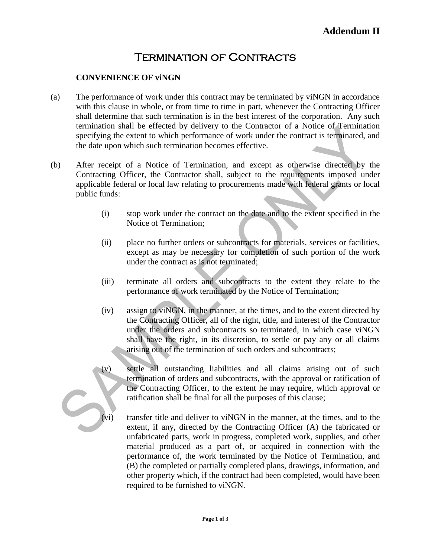## Termination of Contracts

## **CONVENIENCE OF viNGN**

- (a) The performance of work under this contract may be terminated by viNGN in accordance with this clause in whole, or from time to time in part, whenever the Contracting Officer shall determine that such termination is in the best interest of the corporation. Any such termination shall be effected by delivery to the Contractor of a Notice of Termination specifying the extent to which performance of work under the contract is terminated, and the date upon which such termination becomes effective.
- (b) After receipt of a Notice of Termination, and except as otherwise directed by the Contracting Officer, the Contractor shall, subject to the requirements imposed under applicable federal or local law relating to procurements made with federal grants or local public funds:
	- (i) stop work under the contract on the date and to the extent specified in the Notice of Termination;
	- (ii) place no further orders or subcontracts for materials, services or facilities, except as may be necessary for completion of such portion of the work under the contract as is not terminated;
	- (iii) terminate all orders and subcontracts to the extent they relate to the performance of work terminated by the Notice of Termination;
	- (iv) assign to viNGN, in the manner, at the times, and to the extent directed by the Contracting Officer, all of the right, title, and interest of the Contractor under the orders and subcontracts so terminated, in which case viNGN shall have the right, in its discretion, to settle or pay any or all claims arising out of the termination of such orders and subcontracts;
	- (v) settle all outstanding liabilities and all claims arising out of such termination of orders and subcontracts, with the approval or ratification of the Contracting Officer, to the extent he may require, which approval or ratification shall be final for all the purposes of this clause;
		- transfer title and deliver to viNGN in the manner, at the times, and to the extent, if any, directed by the Contracting Officer (A) the fabricated or unfabricated parts, work in progress, completed work, supplies, and other material produced as a part of, or acquired in connection with the performance of, the work terminated by the Notice of Termination, and (B) the completed or partially completed plans, drawings, information, and other property which, if the contract had been completed, would have been required to be furnished to viNGN.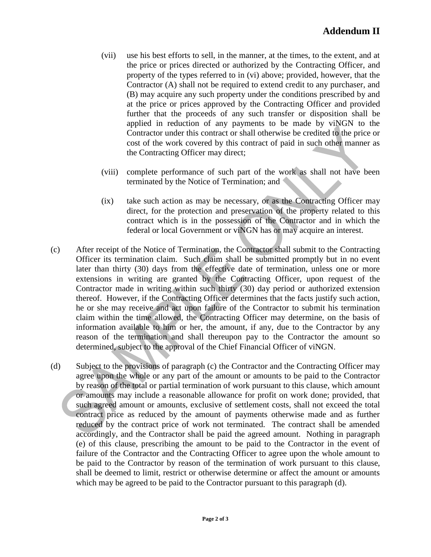- (vii) use his best efforts to sell, in the manner, at the times, to the extent, and at the price or prices directed or authorized by the Contracting Officer, and property of the types referred to in (vi) above; provided, however, that the Contractor (A) shall not be required to extend credit to any purchaser, and (B) may acquire any such property under the conditions prescribed by and at the price or prices approved by the Contracting Officer and provided further that the proceeds of any such transfer or disposition shall be applied in reduction of any payments to be made by viNGN to the Contractor under this contract or shall otherwise be credited to the price or cost of the work covered by this contract of paid in such other manner as the Contracting Officer may direct;
- (viii) complete performance of such part of the work as shall not have been terminated by the Notice of Termination; and
- (ix) take such action as may be necessary, or as the Contracting Officer may direct, for the protection and preservation of the property related to this contract which is in the possession of the Contractor and in which the federal or local Government or viNGN has or may acquire an interest.
- (c) After receipt of the Notice of Termination, the Contractor shall submit to the Contracting Officer its termination claim. Such claim shall be submitted promptly but in no event later than thirty (30) days from the effective date of termination, unless one or more extensions in writing are granted by the Contracting Officer, upon request of the Contractor made in writing within such thirty (30) day period or authorized extension thereof. However, if the Contracting Officer determines that the facts justify such action, he or she may receive and act upon failure of the Contractor to submit his termination claim within the time allowed, the Contracting Officer may determine, on the basis of information available to him or her, the amount, if any, due to the Contractor by any reason of the termination and shall thereupon pay to the Contractor the amount so determined, subject to the approval of the Chief Financial Officer of viNGN.
- (d) Subject to the provisions of paragraph (c) the Contractor and the Contracting Officer may agree upon the whole or any part of the amount or amounts to be paid to the Contractor by reason of the total or partial termination of work pursuant to this clause, which amount or amounts may include a reasonable allowance for profit on work done; provided, that such agreed amount or amounts, exclusive of settlement costs, shall not exceed the total contract price as reduced by the amount of payments otherwise made and as further reduced by the contract price of work not terminated. The contract shall be amended accordingly, and the Contractor shall be paid the agreed amount. Nothing in paragraph (e) of this clause, prescribing the amount to be paid to the Contractor in the event of failure of the Contractor and the Contracting Officer to agree upon the whole amount to be paid to the Contractor by reason of the termination of work pursuant to this clause, shall be deemed to limit, restrict or otherwise determine or affect the amount or amounts which may be agreed to be paid to the Contractor pursuant to this paragraph (d).